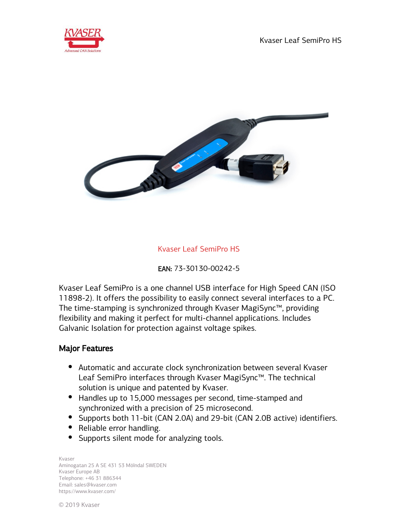



# Kvaser Leaf SemiPro HS

EAN: 73-30130-00242-5

Kvaser Leaf SemiPro is a one channel USB interface for High Speed CAN (ISO 11898-2). It offers the possibility to easily connect several interfaces to a PC. The time-stamping is synchronized through Kvaser MagiSync™, providing flexibility and making it perfect for multi-channel applications. Includes Galvanic Isolation for protection against voltage spikes.

## Major Features

- Automatic and accurate clock synchronization between several Kvaser Leaf SemiPro interfaces through Kvaser MagiSync™. The technical solution is unique and patented by Kvaser.
- Handles up to 15,000 messages per second, time-stamped and synchronized with a precision of 25 microsecond.
- Supports both 11-bit (CAN 2.0A) and 29-bit (CAN 2.0B active) identifiers.
- Reliable error handling.
- Supports silent mode for analyzing tools.

Kvaser Aminogatan 25 A SE 431 53 Mölndal SWEDEN Kvaser Europe AB Telephone: +46 31 886344 Email: sales@kvaser.com https://www.kvaser.com/

© 2019 Kvaser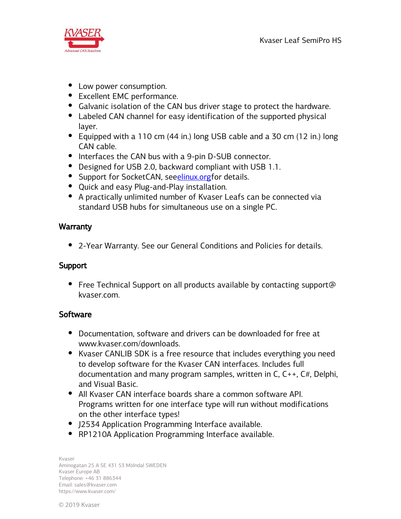

- Low power consumption.
- Excellent EMC performance.
- Galvanic isolation of the CAN bus driver stage to protect the hardware.
- Labeled CAN channel for easy identification of the supported physical layer.
- Equipped with a 110 cm (44 in.) long USB cable and a 30 cm (12 in.) long CAN cable.
- Interfaces the CAN bus with a 9-pin D-SUB connector.
- Designed for USB 2.0, backward compliant with USB 1.1.
- Support for SocketCAN, seeelinux.org for details.
- Quick and easy Plug-and-Play installation.
- A practically unlimited number of Kvaser Leafs can be connected via standard USB hubs for simultaneous use on a single PC.

# **Warranty**

2-Year Warranty. See our General Conditions and Policies for details.

# Support

• Free Technical Support on all products available by contacting support@ kvaser.com.

# **Software**

- Documentation, software and drivers can be downloaded for free at www.kvaser.com/downloads.
- Kvaser CANLIB SDK is a free resource that includes everything you need to develop software for the Kvaser CAN interfaces. Includes full documentation and many program samples, written in C, C++, C#, Delphi, and Visual Basic.
- All Kvaser CAN interface boards share a common software API. Programs written for one interface type will run without modifications on the other interface types!
- J2534 Application Programming Interface available.
- RP1210A Application Programming Interface available.

Kvaser Aminogatan 25 A SE 431 53 Mölndal SWEDEN Kvaser Europe AB Telephone: +46 31 886344 Email: sales@kvaser.com https://www.kvaser.com/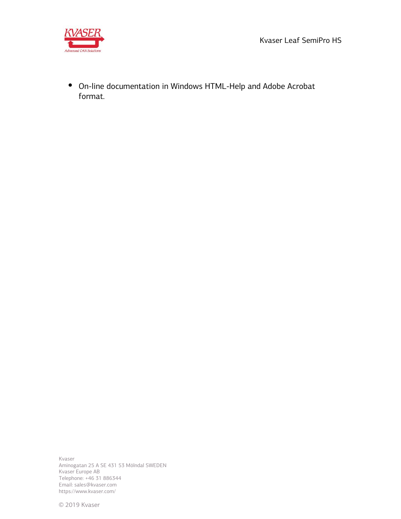Kvaser Leaf SemiPro HS



On-line documentation in Windows HTML-Help and Adobe Acrobat format.

Kvaser Aminogatan 25 A SE 431 53 Mölndal SWEDEN Kvaser Europe AB Telephone: +46 31 886344 Email: sales@kvaser.com https://www.kvaser.com/

© 2019 Kvaser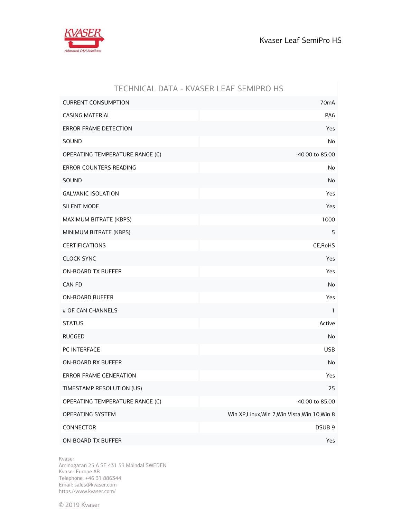

|                                 | TECHNICAL DATA - KVASER LEAF SEMIPRO HS        |
|---------------------------------|------------------------------------------------|
| <b>CURRENT CONSUMPTION</b>      | 70 <sub>m</sub> A                              |
| <b>CASING MATERIAL</b>          | PA <sub>6</sub>                                |
| ERROR FRAME DETECTION           | Yes                                            |
| SOUND                           | No                                             |
| OPERATING TEMPERATURE RANGE (C) | -40.00 to 85.00                                |
| ERROR COUNTERS READING          | No                                             |
| SOUND                           | No                                             |
| <b>GALVANIC ISOLATION</b>       | Yes                                            |
| <b>SILENT MODE</b>              | Yes                                            |
| MAXIMUM BITRATE (KBPS)          | 1000                                           |
| MINIMUM BITRATE (KBPS)          | 5                                              |
| <b>CERTIFICATIONS</b>           | CE, RoHS                                       |
| <b>CLOCK SYNC</b>               | Yes                                            |
| ON-BOARD TX BUFFER              | Yes                                            |
| <b>CAN FD</b>                   | No                                             |
| <b>ON-BOARD BUFFER</b>          | Yes                                            |
| # OF CAN CHANNELS               | $\mathbf{1}$                                   |
| <b>STATUS</b>                   | Active                                         |
| <b>RUGGED</b>                   | No                                             |
| PC INTERFACE                    | <b>USB</b>                                     |
| <b>ON-BOARD RX BUFFER</b>       | No                                             |
| ERROR FRAME GENERATION          | Yes                                            |
| TIMESTAMP RESOLUTION (US)       | 25                                             |
| OPERATING TEMPERATURE RANGE (C) | -40.00 to 85.00                                |
| OPERATING SYSTEM                | Win XP, Linux, Win 7, Win Vista, Win 10, Win 8 |
| CONNECTOR                       | DSUB <sub>9</sub>                              |
| ON-BOARD TX BUFFER              | Yes                                            |

Kvaser

Aminogatan 25 A SE 431 53 Mölndal SWEDEN Kvaser Europe AB Telephone: +46 31 886344 Email: sales@kvaser.com https://www.kvaser.com/

© 2019 Kvaser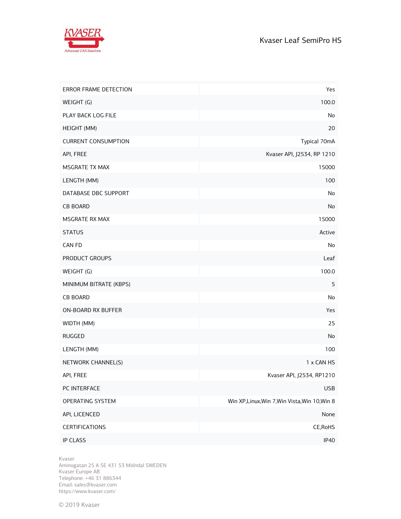

| ERROR FRAME DETECTION      | Yes                                            |
|----------------------------|------------------------------------------------|
| WEIGHT (G)                 | 100.0                                          |
| PLAY BACK LOG FILE         | No                                             |
| HEIGHT (MM)                | 20                                             |
| <b>CURRENT CONSUMPTION</b> | Typical 70mA                                   |
| API, FREE                  | Kvaser API, J2534, RP 1210                     |
| MSGRATE TX MAX             | 15000                                          |
| LENGTH (MM)                | 100                                            |
| DATABASE DBC SUPPORT       | No                                             |
| <b>CB BOARD</b>            | No                                             |
| MSGRATE RX MAX             | 15000                                          |
| <b>STATUS</b>              | Active                                         |
| CAN FD                     | No                                             |
| PRODUCT GROUPS             | Leaf                                           |
| WEIGHT (G)                 | 100.0                                          |
| MINIMUM BITRATE (KBPS)     | 5                                              |
| <b>CB BOARD</b>            | No                                             |
| ON-BOARD RX BUFFER         | Yes                                            |
| WIDTH (MM)                 | 25                                             |
| <b>RUGGED</b>              | No                                             |
| LENGTH (MM)                | 100                                            |
| NETWORK CHANNEL(S)         | 1 x CAN HS                                     |
| API, FREE                  | Kvaser API, J2534, RP1210                      |
| PC INTERFACE               | <b>USB</b>                                     |
| OPERATING SYSTEM           | Win XP, Linux, Win 7, Win Vista, Win 10, Win 8 |
| API, LICENCED              | None                                           |
| <b>CERTIFICATIONS</b>      | CE, RoHS                                       |
| IP CLASS                   | IP40                                           |

Kvaser

Aminogatan 25 A SE 431 53 Mölndal SWEDEN Kvaser Europe AB Telephone: +46 31 886344 Email: sales@kvaser.com https://www.kvaser.com/